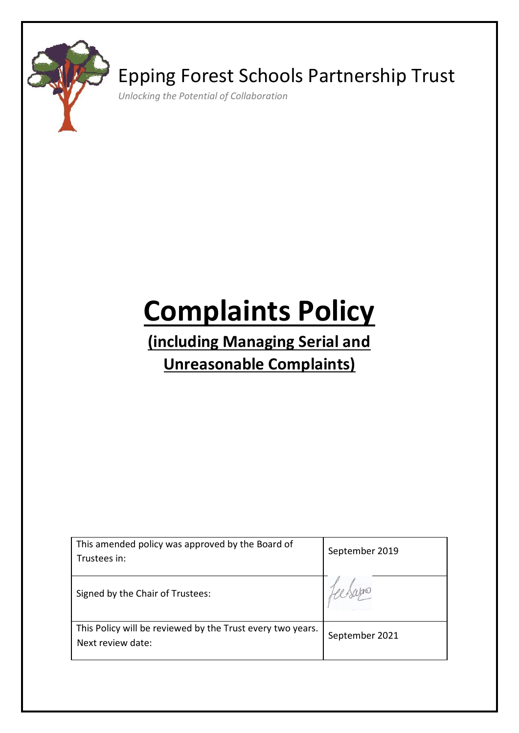

# Epping Forest Schools Partnership Trust

*Unlocking the Potential of Collaboration*

# **Complaints Policy**

# **(including Managing Serial and Unreasonable Complaints)**

| This amended policy was approved by the Board of<br>Trustees in:                | September 2019 |
|---------------------------------------------------------------------------------|----------------|
| Signed by the Chair of Trustees:                                                |                |
| This Policy will be reviewed by the Trust every two years.<br>Next review date: | September 2021 |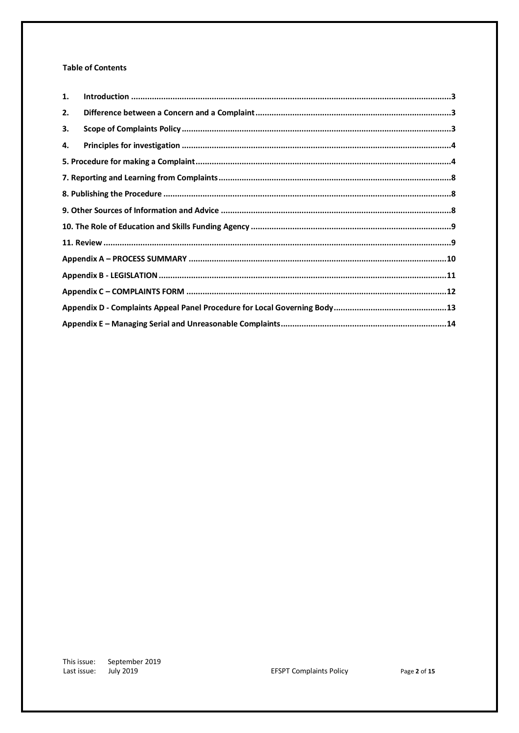#### **Table of Contents**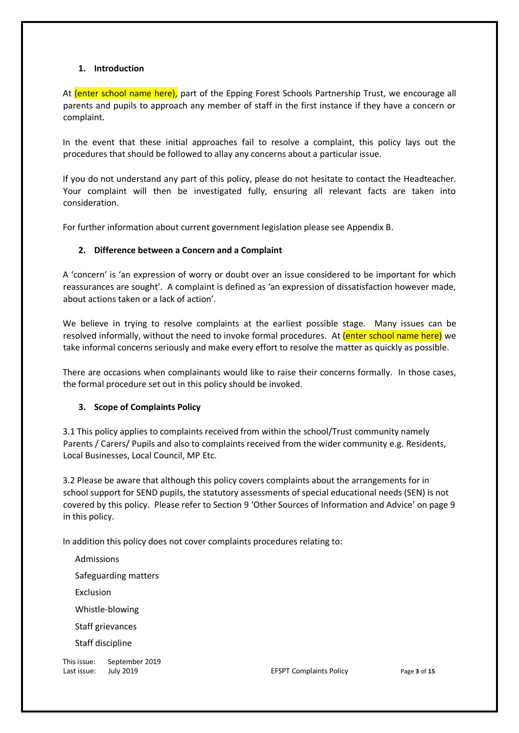## <span id="page-2-0"></span>**1. Introduction**

At (enter school name here), part of the Epping Forest Schools Partnership Trust, we encourage all parents and pupils to approach any member of staff in the first instance if they have a concern or complaint.

In the event that these initial approaches fail to resolve a complaint, this policy lays out the procedures that should be followed to allay any concerns about a particular issue.

If you do not understand any part of this policy, please do not hesitate to contact the Headteacher. Your complaint will then be investigated fully, ensuring all relevant facts are taken into consideration.

<span id="page-2-1"></span>For further information about current government legislation please see Appendix B.

# **2. Difference between a Concern and a Complaint**

A 'concern' is 'an expression of worry or doubt over an issue considered to be important for which reassurances are sought'. A complaint is defined as 'an expression of dissatisfaction however made, about actions taken or a lack of action'.

We believe in trying to resolve complaints at the earliest possible stage. Many issues can be resolved informally, without the need to invoke formal procedures. At (enter school name here) we take informal concerns seriously and make every effort to resolve the matter as quickly as possible.

There are occasions when complainants would like to raise their concerns formally. In those cases, the formal procedure set out in this policy should be invoked.

# <span id="page-2-2"></span>**3. Scope of Complaints Policy**

3.1 This policy applies to complaints received from within the school/Trust community namely Parents / Carers/ Pupils and also to complaints received from the wider community e.g. Residents, Local Businesses, Local Council, MP Etc.

3.2 Please be aware that although this policy covers complaints about the arrangements for in school support for SEND pupils, the statutory assessments of special educational needs (SEN) is not covered by this policy. Please refer to Section 9 'Other Sources of Information and Advice' on page 9 in this policy.

In addition this policy does not cover complaints procedures relating to:

This issue: September 2019 Admissions Safeguarding matters Exclusion Whistle-blowing Staff grievances Staff discipline

Last issue: July 2019 EFSPT Complaints Policy Page **3** of **15**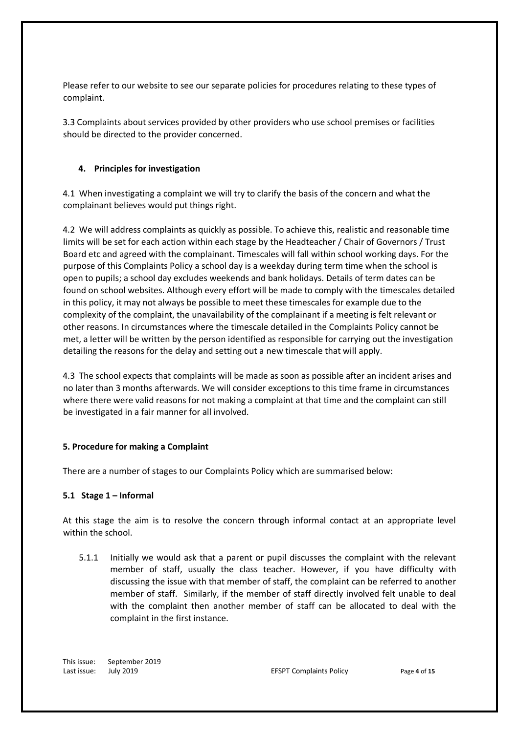Please refer to our website to see our separate policies for procedures relating to these types of complaint.

3.3 Complaints about services provided by other providers who use school premises or facilities should be directed to the provider concerned.

# <span id="page-3-0"></span>**4. Principles for investigation**

4.1 When investigating a complaint we will try to clarify the basis of the concern and what the complainant believes would put things right.

4.2 We will address complaints as quickly as possible. To achieve this, realistic and reasonable time limits will be set for each action within each stage by the Headteacher / Chair of Governors / Trust Board etc and agreed with the complainant. Timescales will fall within school working days. For the purpose of this Complaints Policy a school day is a weekday during term time when the school is open to pupils; a school day excludes weekends and bank holidays. Details of term dates can be found on school websites. Although every effort will be made to comply with the timescales detailed in this policy, it may not always be possible to meet these timescales for example due to the complexity of the complaint, the unavailability of the complainant if a meeting is felt relevant or other reasons. In circumstances where the timescale detailed in the Complaints Policy cannot be met, a letter will be written by the person identified as responsible for carrying out the investigation detailing the reasons for the delay and setting out a new timescale that will apply.

4.3 The school expects that complaints will be made as soon as possible after an incident arises and no later than 3 months afterwards. We will consider exceptions to this time frame in circumstances where there were valid reasons for not making a complaint at that time and the complaint can still be investigated in a fair manner for all involved.

# <span id="page-3-1"></span>**5. Procedure for making a Complaint**

There are a number of stages to our Complaints Policy which are summarised below:

# **5.1 Stage 1 – Informal**

At this stage the aim is to resolve the concern through informal contact at an appropriate level within the school.

5.1.1 Initially we would ask that a parent or pupil discusses the complaint with the relevant member of staff, usually the class teacher. However, if you have difficulty with discussing the issue with that member of staff, the complaint can be referred to another member of staff. Similarly, if the member of staff directly involved felt unable to deal with the complaint then another member of staff can be allocated to deal with the complaint in the first instance.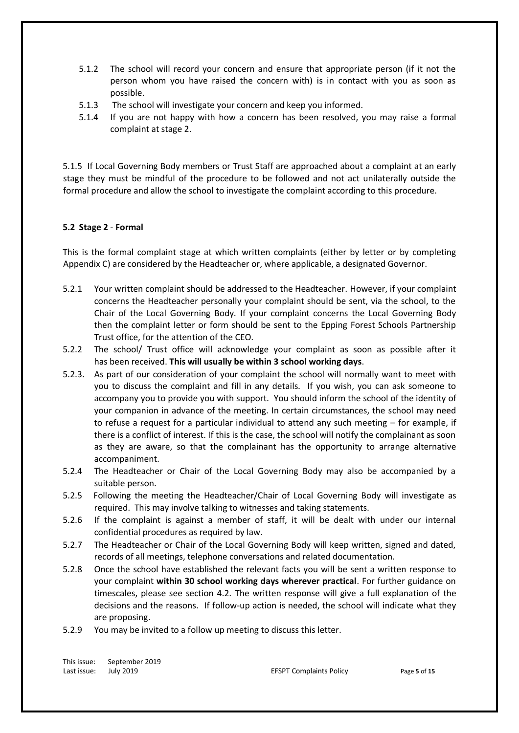- 5.1.2 The school will record your concern and ensure that appropriate person (if it not the person whom you have raised the concern with) is in contact with you as soon as possible.
- 5.1.3 The school will investigate your concern and keep you informed.
- 5.1.4 If you are not happy with how a concern has been resolved, you may raise a formal complaint at stage 2.

5.1.5 If Local Governing Body members or Trust Staff are approached about a complaint at an early stage they must be mindful of the procedure to be followed and not act unilaterally outside the formal procedure and allow the school to investigate the complaint according to this procedure.

# **5.2 Stage 2** - **Formal**

This is the formal complaint stage at which written complaints (either by letter or by completing Appendix C) are considered by the Headteacher or, where applicable, a designated Governor.

- 5.2.1 Your written complaint should be addressed to the Headteacher. However, if your complaint concerns the Headteacher personally your complaint should be sent, via the school, to the Chair of the Local Governing Body. If your complaint concerns the Local Governing Body then the complaint letter or form should be sent to the Epping Forest Schools Partnership Trust office, for the attention of the CEO.
- 5.2.2 The school/ Trust office will acknowledge your complaint as soon as possible after it has been received. **This will usually be within 3 school working days**.
- 5.2.3. As part of our consideration of your complaint the school will normally want to meet with you to discuss the complaint and fill in any details. If you wish, you can ask someone to accompany you to provide you with support. You should inform the school of the identity of your companion in advance of the meeting. In certain circumstances, the school may need to refuse a request for a particular individual to attend any such meeting – for example, if there is a conflict of interest. If this is the case, the school will notify the complainant as soon as they are aware, so that the complainant has the opportunity to arrange alternative accompaniment.
- 5.2.4 The Headteacher or Chair of the Local Governing Body may also be accompanied by a suitable person.
- 5.2.5 Following the meeting the Headteacher/Chair of Local Governing Body will investigate as required. This may involve talking to witnesses and taking statements.
- 5.2.6 If the complaint is against a member of staff, it will be dealt with under our internal confidential procedures as required by law.
- 5.2.7 The Headteacher or Chair of the Local Governing Body will keep written, signed and dated, records of all meetings, telephone conversations and related documentation.
- 5.2.8 Once the school have established the relevant facts you will be sent a written response to your complaint **within 30 school working days wherever practical**. For further guidance on timescales, please see section 4.2. The written response will give a full explanation of the decisions and the reasons. If follow-up action is needed, the school will indicate what they are proposing.
- 5.2.9 You may be invited to a follow up meeting to discuss this letter.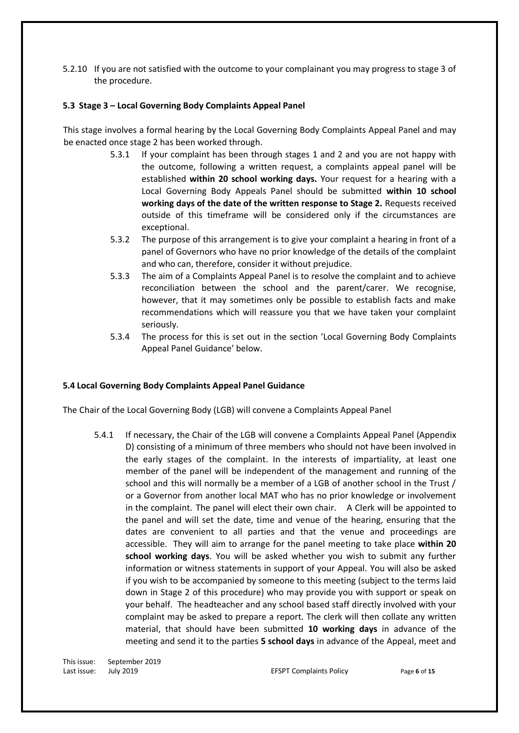5.2.10 If you are not satisfied with the outcome to your complainant you may progress to stage 3 of the procedure.

# **5.3 Stage 3 – Local Governing Body Complaints Appeal Panel**

This stage involves a formal hearing by the Local Governing Body Complaints Appeal Panel and may be enacted once stage 2 has been worked through.

- 5.3.1 If your complaint has been through stages 1 and 2 and you are not happy with the outcome, following a written request, a complaints appeal panel will be established **within 20 school working days.** Your request for a hearing with a Local Governing Body Appeals Panel should be submitted **within 10 school working days of the date of the written response to Stage 2.** Requests received outside of this timeframe will be considered only if the circumstances are exceptional.
- 5.3.2 The purpose of this arrangement is to give your complaint a hearing in front of a panel of Governors who have no prior knowledge of the details of the complaint and who can, therefore, consider it without prejudice.
- 5.3.3 The aim of a Complaints Appeal Panel is to resolve the complaint and to achieve reconciliation between the school and the parent/carer. We recognise, however, that it may sometimes only be possible to establish facts and make recommendations which will reassure you that we have taken your complaint seriously.
- 5.3.4 The process for this is set out in the section 'Local Governing Body Complaints Appeal Panel Guidance' below.

# **5.4 Local Governing Body Complaints Appeal Panel Guidance**

The Chair of the Local Governing Body (LGB) will convene a Complaints Appeal Panel

5.4.1 If necessary, the Chair of the LGB will convene a Complaints Appeal Panel (Appendix D) consisting of a minimum of three members who should not have been involved in the early stages of the complaint. In the interests of impartiality, at least one member of the panel will be independent of the management and running of the school and this will normally be a member of a LGB of another school in the Trust / or a Governor from another local MAT who has no prior knowledge or involvement in the complaint. The panel will elect their own chair. A Clerk will be appointed to the panel and will set the date, time and venue of the hearing, ensuring that the dates are convenient to all parties and that the venue and proceedings are accessible. They will aim to arrange for the panel meeting to take place **within 20 school working days**. You will be asked whether you wish to submit any further information or witness statements in support of your Appeal. You will also be asked if you wish to be accompanied by someone to this meeting (subject to the terms laid down in Stage 2 of this procedure) who may provide you with support or speak on your behalf. The headteacher and any school based staff directly involved with your complaint may be asked to prepare a report. The clerk will then collate any written material, that should have been submitted **10 working days** in advance of the meeting and send it to the parties **5 school days** in advance of the Appeal, meet and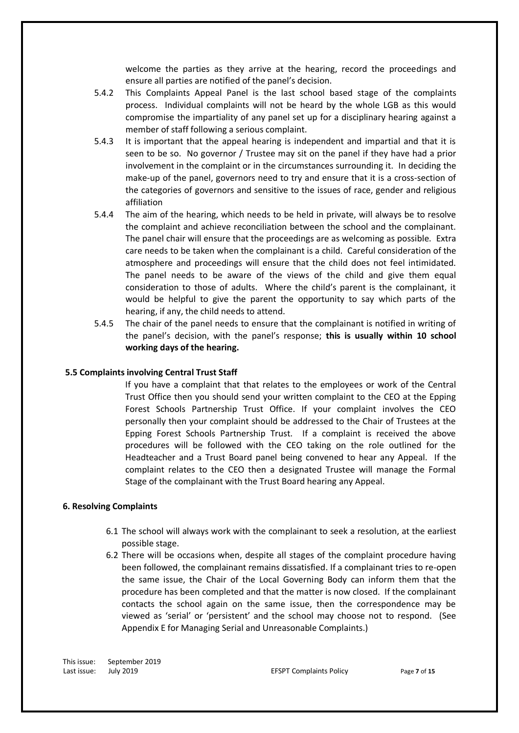welcome the parties as they arrive at the hearing, record the proceedings and ensure all parties are notified of the panel's decision.

- 5.4.2 This Complaints Appeal Panel is the last school based stage of the complaints process. Individual complaints will not be heard by the whole LGB as this would compromise the impartiality of any panel set up for a disciplinary hearing against a member of staff following a serious complaint.
- 5.4.3 It is important that the appeal hearing is independent and impartial and that it is seen to be so. No governor / Trustee may sit on the panel if they have had a prior involvement in the complaint or in the circumstances surrounding it. In deciding the make-up of the panel, governors need to try and ensure that it is a cross-section of the categories of governors and sensitive to the issues of race, gender and religious affiliation
- 5.4.4 The aim of the hearing, which needs to be held in private, will always be to resolve the complaint and achieve reconciliation between the school and the complainant. The panel chair will ensure that the proceedings are as welcoming as possible. Extra care needs to be taken when the complainant is a child. Careful consideration of the atmosphere and proceedings will ensure that the child does not feel intimidated. The panel needs to be aware of the views of the child and give them equal consideration to those of adults. Where the child's parent is the complainant, it would be helpful to give the parent the opportunity to say which parts of the hearing, if any, the child needs to attend.
- 5.4.5 The chair of the panel needs to ensure that the complainant is notified in writing of the panel's decision, with the panel's response; **this is usually within 10 school working days of the hearing.**

#### **5.5 Complaints involving Central Trust Staff**

If you have a complaint that that relates to the employees or work of the Central Trust Office then you should send your written complaint to the CEO at the Epping Forest Schools Partnership Trust Office. If your complaint involves the CEO personally then your complaint should be addressed to the Chair of Trustees at the Epping Forest Schools Partnership Trust. If a complaint is received the above procedures will be followed with the CEO taking on the role outlined for the Headteacher and a Trust Board panel being convened to hear any Appeal. If the complaint relates to the CEO then a designated Trustee will manage the Formal Stage of the complainant with the Trust Board hearing any Appeal.

#### **6. Resolving Complaints**

- 6.1 The school will always work with the complainant to seek a resolution, at the earliest possible stage.
- 6.2 There will be occasions when, despite all stages of the complaint procedure having been followed, the complainant remains dissatisfied. If a complainant tries to re-open the same issue, the Chair of the Local Governing Body can inform them that the procedure has been completed and that the matter is now closed. If the complainant contacts the school again on the same issue, then the correspondence may be viewed as 'serial' or 'persistent' and the school may choose not to respond. (See Appendix E for Managing Serial and Unreasonable Complaints.)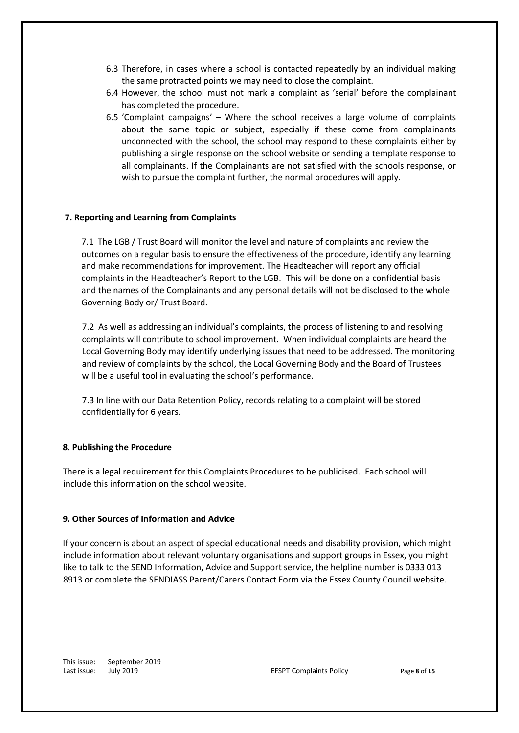- 6.3 Therefore, in cases where a school is contacted repeatedly by an individual making the same protracted points we may need to close the complaint.
- 6.4 However, the school must not mark a complaint as 'serial' before the complainant has completed the procedure.
- 6.5 'Complaint campaigns' Where the school receives a large volume of complaints about the same topic or subject, especially if these come from complainants unconnected with the school, the school may respond to these complaints either by publishing a single response on the school website or sending a template response to all complainants. If the Complainants are not satisfied with the schools response, or wish to pursue the complaint further, the normal procedures will apply.

#### <span id="page-7-0"></span>**7. Reporting and Learning from Complaints**

7.1 The LGB / Trust Board will monitor the level and nature of complaints and review the outcomes on a regular basis to ensure the effectiveness of the procedure, identify any learning and make recommendations for improvement. The Headteacher will report any official complaints in the Headteacher's Report to the LGB. This will be done on a confidential basis and the names of the Complainants and any personal details will not be disclosed to the whole Governing Body or/ Trust Board.

7.2 As well as addressing an individual's complaints, the process of listening to and resolving complaints will contribute to school improvement. When individual complaints are heard the Local Governing Body may identify underlying issues that need to be addressed. The monitoring and review of complaints by the school, the Local Governing Body and the Board of Trustees will be a useful tool in evaluating the school's performance.

7.3 In line with our Data Retention Policy, records relating to a complaint will be stored confidentially for 6 years.

#### <span id="page-7-1"></span>**8. Publishing the Procedure**

There is a legal requirement for this Complaints Procedures to be publicised. Each school will include this information on the school website.

# <span id="page-7-2"></span>**9. Other Sources of Information and Advice**

<span id="page-7-3"></span>If your concern is about an aspect of special educational needs and disability provision, which might include information about relevant voluntary organisations and support groups in Essex, you might like to talk to the SEND Information, Advice and Support service, the helpline number is 0333 013 8913 or complete the SENDIASS Parent/Carers Contact Form via the Essex County Council website.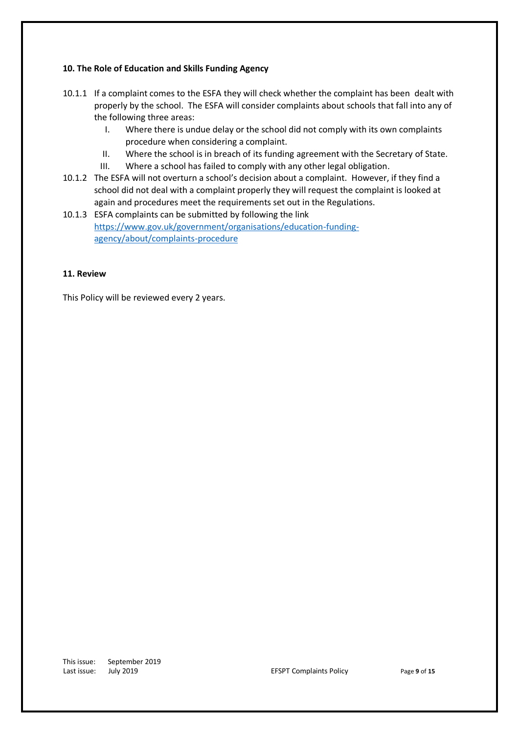# **10. The Role of Education and Skills Funding Agency**

- 10.1.1 If a complaint comes to the ESFA they will check whether the complaint has been dealt with properly by the school. The ESFA will consider complaints about schools that fall into any of the following three areas:
	- I. Where there is undue delay or the school did not comply with its own complaints procedure when considering a complaint.
	- II. Where the school is in breach of its funding agreement with the Secretary of State.
	- III. Where a school has failed to comply with any other legal obligation.
- 10.1.2 The ESFA will not overturn a school's decision about a complaint. However, if they find a school did not deal with a complaint properly they will request the complaint is looked at again and procedures meet the requirements set out in the Regulations.
- 10.1.3 ESFA complaints can be submitted by following the link [https://www.gov.uk/government/organisations/education-funding](https://www.gov.uk/government/organisations/education-funding-agency/about/complaints-procedure)[agency/about/complaints-procedure](https://www.gov.uk/government/organisations/education-funding-agency/about/complaints-procedure)

# <span id="page-8-0"></span>**11. Review**

<span id="page-8-1"></span>This Policy will be reviewed every 2 years.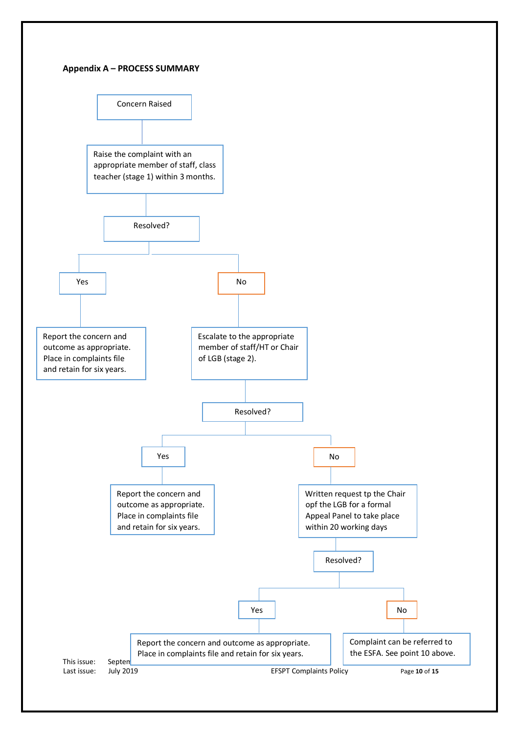#### **Appendix A – PROCESS SUMMARY**

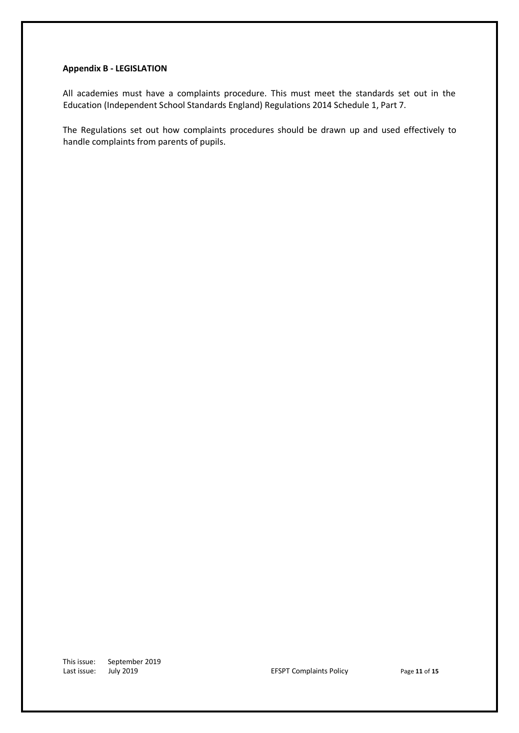#### <span id="page-10-0"></span>**Appendix B - LEGISLATION**

All academies must have a complaints procedure. This must meet the standards set out in the Education (Independent School Standards England) Regulations 2014 Schedule 1, Part 7.

The Regulations set out how complaints procedures should be drawn up and used effectively to handle complaints from parents of pupils.

This issue: September 2019 Last issue: July 2019 EFSPT Complaints Policy Page **11** of **15**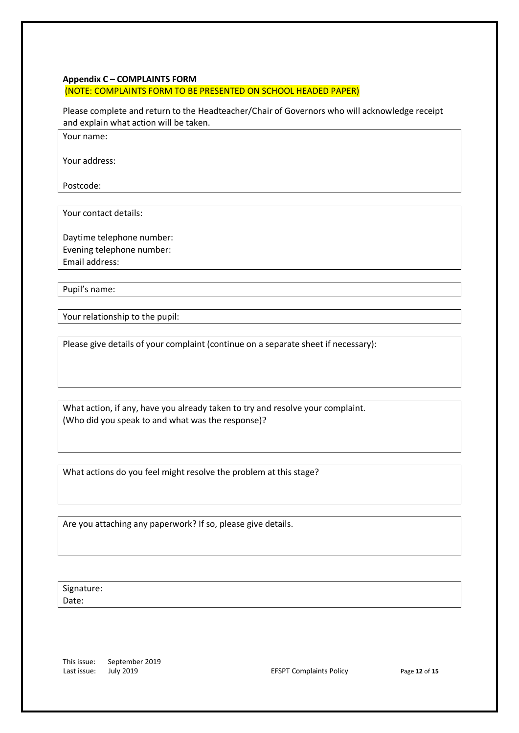# <span id="page-11-0"></span>**Appendix C – COMPLAINTS FORM**  (NOTE: COMPLAINTS FORM TO BE PRESENTED ON SCHOOL HEADED PAPER)

Please complete and return to the Headteacher/Chair of Governors who will acknowledge receipt and explain what action will be taken.

Your name:

Your address:

Postcode:

Your contact details:

Daytime telephone number: Evening telephone number: Email address:

Pupil's name:

Your relationship to the pupil:

Please give details of your complaint (continue on a separate sheet if necessary):

What action, if any, have you already taken to try and resolve your complaint. (Who did you speak to and what was the response)?

What actions do you feel might resolve the problem at this stage?

Are you attaching any paperwork? If so, please give details.

Signature: Date:

This issue: September 2019 Last issue: July 2019 EFSPT Complaints Policy Page **12** of **15**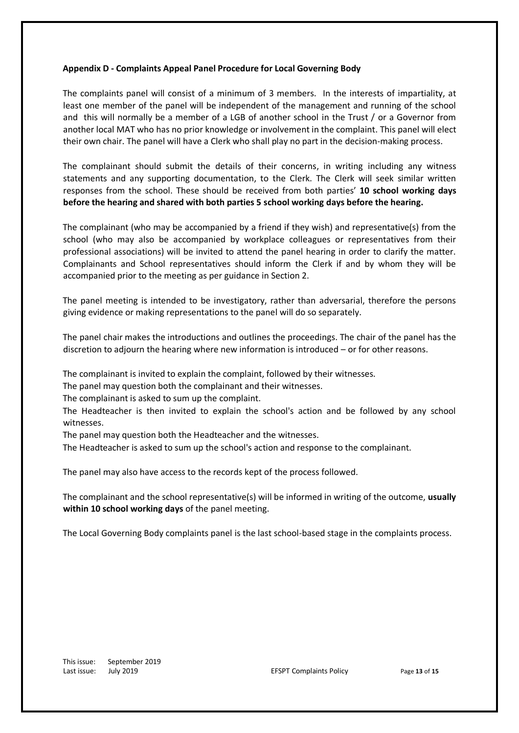# <span id="page-12-0"></span>**Appendix D - Complaints Appeal Panel Procedure for Local Governing Body**

The complaints panel will consist of a minimum of 3 members. In the interests of impartiality, at least one member of the panel will be independent of the management and running of the school and this will normally be a member of a LGB of another school in the Trust / or a Governor from another local MAT who has no prior knowledge or involvement in the complaint. This panel will elect their own chair. The panel will have a Clerk who shall play no part in the decision-making process.

The complainant should submit the details of their concerns, in writing including any witness statements and any supporting documentation, to the Clerk. The Clerk will seek similar written responses from the school. These should be received from both parties' **10 school working days before the hearing and shared with both parties 5 school working days before the hearing.**

The complainant (who may be accompanied by a friend if they wish) and representative(s) from the school (who may also be accompanied by workplace colleagues or representatives from their professional associations) will be invited to attend the panel hearing in order to clarify the matter. Complainants and School representatives should inform the Clerk if and by whom they will be accompanied prior to the meeting as per guidance in Section 2.

The panel meeting is intended to be investigatory, rather than adversarial, therefore the persons giving evidence or making representations to the panel will do so separately.

The panel chair makes the introductions and outlines the proceedings. The chair of the panel has the discretion to adjourn the hearing where new information is introduced – or for other reasons.

The complainant is invited to explain the complaint, followed by their witnesses.

The panel may question both the complainant and their witnesses.

The complainant is asked to sum up the complaint.

The Headteacher is then invited to explain the school's action and be followed by any school witnesses.

The panel may question both the Headteacher and the witnesses.

The Headteacher is asked to sum up the school's action and response to the complainant.

The panel may also have access to the records kept of the process followed.

The complainant and the school representative(s) will be informed in writing of the outcome, **usually within 10 school working days** of the panel meeting.

The Local Governing Body complaints panel is the last school-based stage in the complaints process.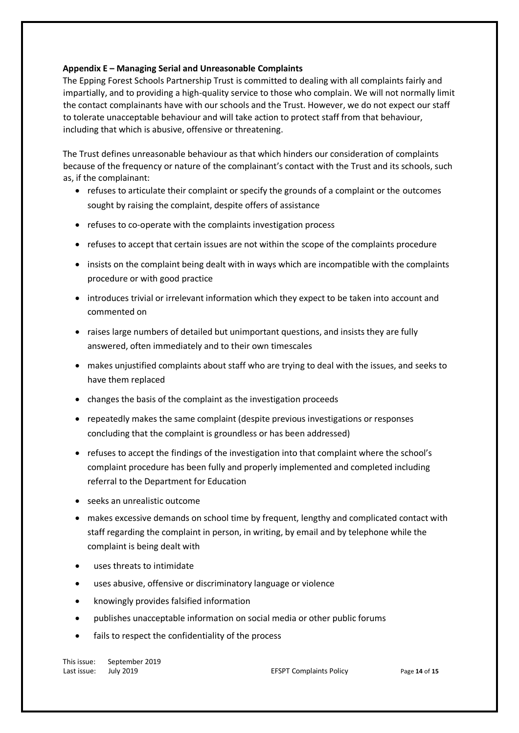# <span id="page-13-0"></span>**Appendix E – Managing Serial and Unreasonable Complaints**

The Epping Forest Schools Partnership Trust is committed to dealing with all complaints fairly and impartially, and to providing a high-quality service to those who complain. We will not normally limit the contact complainants have with our schools and the Trust. However, we do not expect our staff to tolerate unacceptable behaviour and will take action to protect staff from that behaviour, including that which is abusive, offensive or threatening.

The Trust defines unreasonable behaviour as that which hinders our consideration of complaints because of the frequency or nature of the complainant's contact with the Trust and its schools, such as, if the complainant:

- refuses to articulate their complaint or specify the grounds of a complaint or the outcomes sought by raising the complaint, despite offers of assistance
- refuses to co-operate with the complaints investigation process
- refuses to accept that certain issues are not within the scope of the complaints procedure
- insists on the complaint being dealt with in ways which are incompatible with the complaints procedure or with good practice
- introduces trivial or irrelevant information which they expect to be taken into account and commented on
- raises large numbers of detailed but unimportant questions, and insists they are fully answered, often immediately and to their own timescales
- makes unjustified complaints about staff who are trying to deal with the issues, and seeks to have them replaced
- changes the basis of the complaint as the investigation proceeds
- repeatedly makes the same complaint (despite previous investigations or responses concluding that the complaint is groundless or has been addressed)
- refuses to accept the findings of the investigation into that complaint where the school's complaint procedure has been fully and properly implemented and completed including referral to the Department for Education
- seeks an unrealistic outcome
- makes excessive demands on school time by frequent, lengthy and complicated contact with staff regarding the complaint in person, in writing, by email and by telephone while the complaint is being dealt with
- uses threats to intimidate
- uses abusive, offensive or discriminatory language or violence
- knowingly provides falsified information
- publishes unacceptable information on social media or other public forums
- fails to respect the confidentiality of the process

This issue: September 2019 Last issue: July 2019 EFSPT Complaints Policy Page **14** of **15**